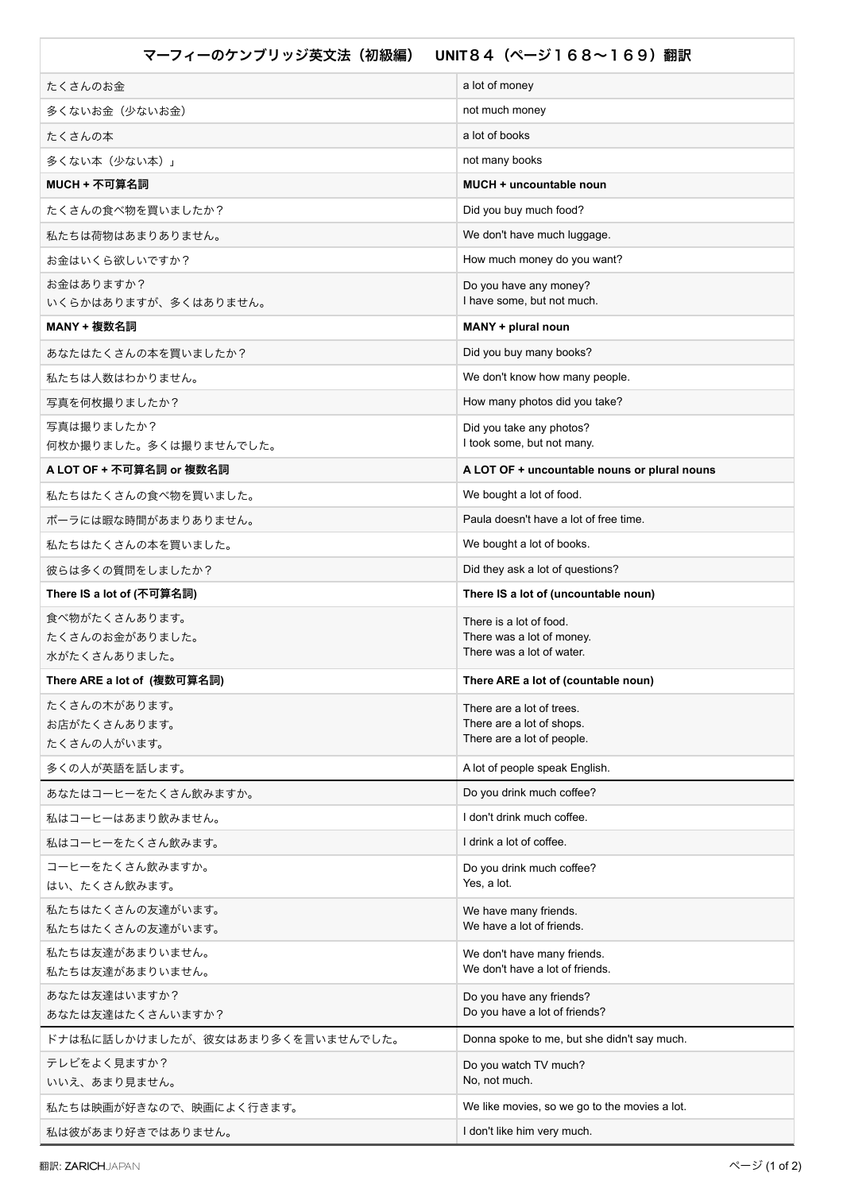| UNIT84 (ページ168~169) 翻訳<br>マーフィーのケンブリッジ英文法(初級編) |                                                                |
|------------------------------------------------|----------------------------------------------------------------|
| たくさんのお金                                        | a lot of money                                                 |
| 多くないお金(少ないお金)                                  | not much money                                                 |
| たくさんの本                                         | a lot of books                                                 |
| 多くない本(少ない本)」                                   | not many books                                                 |
| MUCH + 不可算名詞                                   | MUCH + uncountable noun                                        |
| たくさんの食べ物を買いましたか?                               | Did you buy much food?                                         |
| 私たちは荷物はあまりありません。                               | We don't have much luggage.                                    |
| お金はいくら欲しいですか?                                  | How much money do you want?                                    |
| お金はありますか?                                      | Do you have any money?                                         |
| いくらかはありますが、多くはありません。                           | I have some, but not much.                                     |
| MANY + 複数名詞                                    | MANY + plural noun                                             |
| あなたはたくさんの本を買いましたか?                             | Did you buy many books?                                        |
| 私たちは人数はわかりません。                                 | We don't know how many people.                                 |
| 写真を何枚撮りましたか?                                   | How many photos did you take?                                  |
| 写真は撮りましたか?<br>何枚か撮りました。多くは撮りませんでした。            | Did you take any photos?<br>I took some, but not many.         |
| A LOT OF + 不可算名詞 or 複数名詞                       | A LOT OF + uncountable nouns or plural nouns                   |
| 私たちはたくさんの食べ物を買いました。                            | We bought a lot of food.                                       |
| ポーラには暇な時間があまりありません。                            | Paula doesn't have a lot of free time.                         |
| 私たちはたくさんの本を買いました。                              | We bought a lot of books.                                      |
| 彼らは多くの質問をしましたか?                                | Did they ask a lot of questions?                               |
| There IS a lot of (不可算名詞)                      | There IS a lot of (uncountable noun)                           |
| 食べ物がたくさんあります。                                  | There is a lot of food.                                        |
| たくさんのお金がありました。                                 | There was a lot of money.<br>There was a lot of water.         |
| 水がたくさんありました。                                   |                                                                |
| There ARE a lot of(複数可算名詞)                     | There ARE a lot of (countable noun)                            |
| たくさんの木があります。<br>お店がたくさんあります。                   | There are a lot of trees.<br>There are a lot of shops.         |
| たくさんの人がいます。                                    | There are a lot of people.                                     |
| 多くの人が英語を話します。                                  | A lot of people speak English.                                 |
| あなたはコーヒーをたくさん飲みますか。                            | Do you drink much coffee?                                      |
| 私はコーヒーはあまり飲みません。                               | I don't drink much coffee.                                     |
| 私はコーヒーをたくさん飲みます。                               | I drink a lot of coffee.                                       |
| コーヒーをたくさん飲みますか。                                | Do you drink much coffee?                                      |
| はい、たくさん飲みます。                                   | Yes, a lot.                                                    |
| 私たちはたくさんの友達がいます。                               | We have many friends.<br>We have a lot of friends.             |
| 私たちはたくさんの友達がいます。                               |                                                                |
| 私たちは友達があまりいません。<br>私たちは友達があまりいません。             | We don't have many friends.<br>We don't have a lot of friends. |
| あなたは友達はいますか?                                   | Do you have any friends?                                       |
| あなたは友達はたくさんいますか?                               | Do you have a lot of friends?                                  |
| ドナは私に話しかけましたが、彼女はあまり多くを言いませんでした。               | Donna spoke to me, but she didn't say much.                    |
| テレビをよく見ますか?                                    | Do you watch TV much?                                          |
| いいえ、あまり見ません。                                   | No, not much.                                                  |
| 私たちは映画が好きなので、映画によく行きます。                        | We like movies, so we go to the movies a lot.                  |
| 私は彼があまり好きではありません。                              | I don't like him very much.                                    |